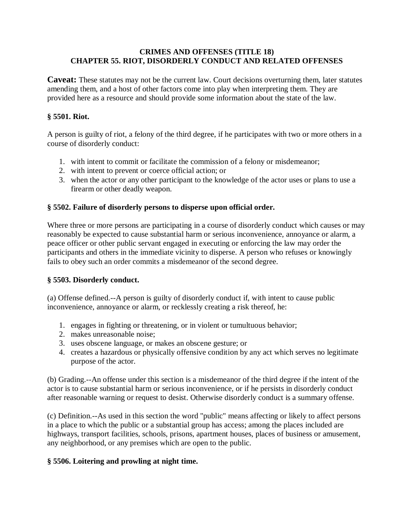## **CRIMES AND OFFENSES (TITLE 18) CHAPTER 55. RIOT, DISORDERLY CONDUCT AND RELATED OFFENSES**

**Caveat:** These statutes may not be the current law. Court decisions overturning them, later statutes amending them, and a host of other factors come into play when interpreting them. They are provided here as a resource and should provide some information about the state of the law.

## **§ 5501. Riot.**

A person is guilty of riot, a felony of the third degree, if he participates with two or more others in a course of disorderly conduct:

- 1. with intent to commit or facilitate the commission of a felony or misdemeanor;
- 2. with intent to prevent or coerce official action; or
- 3. when the actor or any other participant to the knowledge of the actor uses or plans to use a firearm or other deadly weapon.

## **§ 5502. Failure of disorderly persons to disperse upon official order.**

Where three or more persons are participating in a course of disorderly conduct which causes or may reasonably be expected to cause substantial harm or serious inconvenience, annoyance or alarm, a peace officer or other public servant engaged in executing or enforcing the law may order the participants and others in the immediate vicinity to disperse. A person who refuses or knowingly fails to obey such an order commits a misdemeanor of the second degree.

#### **§ 5503. Disorderly conduct.**

(a) Offense defined.--A person is guilty of disorderly conduct if, with intent to cause public inconvenience, annoyance or alarm, or recklessly creating a risk thereof, he:

- 1. engages in fighting or threatening, or in violent or tumultuous behavior;
- 2. makes unreasonable noise;
- 3. uses obscene language, or makes an obscene gesture; or
- 4. creates a hazardous or physically offensive condition by any act which serves no legitimate purpose of the actor.

(b) Grading.--An offense under this section is a misdemeanor of the third degree if the intent of the actor is to cause substantial harm or serious inconvenience, or if he persists in disorderly conduct after reasonable warning or request to desist. Otherwise disorderly conduct is a summary offense.

(c) Definition.--As used in this section the word "public" means affecting or likely to affect persons in a place to which the public or a substantial group has access; among the places included are highways, transport facilities, schools, prisons, apartment houses, places of business or amusement, any neighborhood, or any premises which are open to the public.

# **§ 5506. Loitering and prowling at night time.**